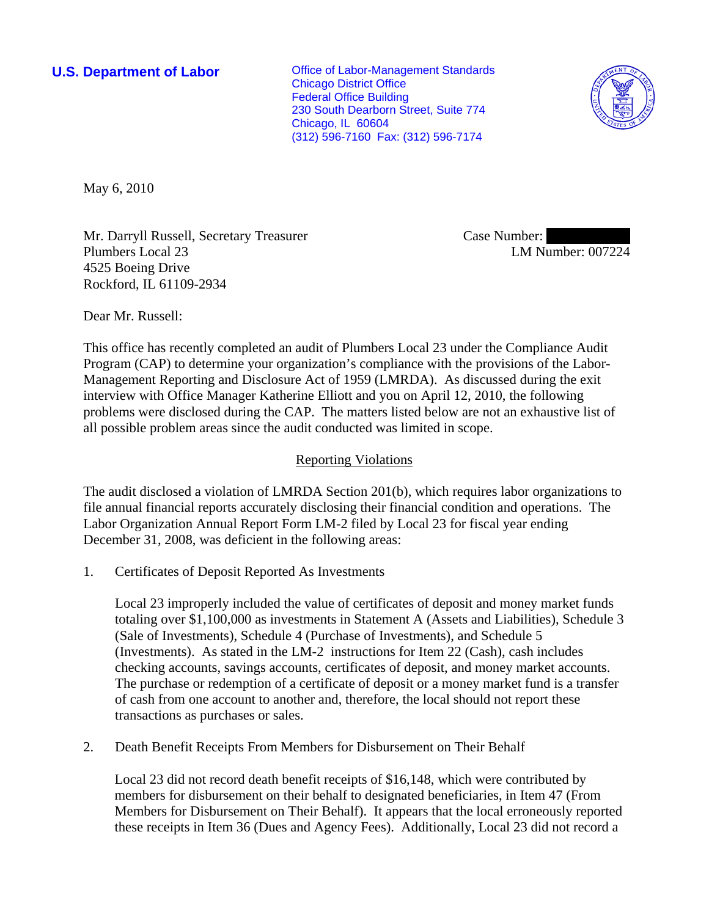**U.S. Department of Labor Conservative Conservative Conservative Conservative Conservative Conservative Conservative Conservative Conservative Conservative Conservative Conservative Conservative Conservative Conservative** Chicago District Office Federal Office Building 230 South Dearborn Street, Suite 774 Chicago, IL 60604 (312) 596-7160 Fax: (312) 596-7174



May 6, 2010

Mr. Darryll Russell, Secretary Treasurer Plumbers Local 23 4525 Boeing Drive Rockford, IL 61109-2934

Case Number: LM Number: 007224

Dear Mr. Russell:

This office has recently completed an audit of Plumbers Local 23 under the Compliance Audit Program (CAP) to determine your organization's compliance with the provisions of the Labor-Management Reporting and Disclosure Act of 1959 (LMRDA). As discussed during the exit interview with Office Manager Katherine Elliott and you on April 12, 2010, the following problems were disclosed during the CAP. The matters listed below are not an exhaustive list of all possible problem areas since the audit conducted was limited in scope.

# Reporting Violations

The audit disclosed a violation of LMRDA Section 201(b), which requires labor organizations to file annual financial reports accurately disclosing their financial condition and operations. The Labor Organization Annual Report Form LM-2 filed by Local 23 for fiscal year ending December 31, 2008, was deficient in the following areas:

1. Certificates of Deposit Reported As Investments

Local 23 improperly included the value of certificates of deposit and money market funds totaling over \$1,100,000 as investments in Statement A (Assets and Liabilities), Schedule 3 (Sale of Investments), Schedule 4 (Purchase of Investments), and Schedule 5 (Investments). As stated in the LM-2 instructions for Item 22 (Cash), cash includes checking accounts, savings accounts, certificates of deposit, and money market accounts. The purchase or redemption of a certificate of deposit or a money market fund is a transfer of cash from one account to another and, therefore, the local should not report these transactions as purchases or sales.

2. Death Benefit Receipts From Members for Disbursement on Their Behalf

Local 23 did not record death benefit receipts of \$16,148, which were contributed by members for disbursement on their behalf to designated beneficiaries, in Item 47 (From Members for Disbursement on Their Behalf). It appears that the local erroneously reported these receipts in Item 36 (Dues and Agency Fees). Additionally, Local 23 did not record a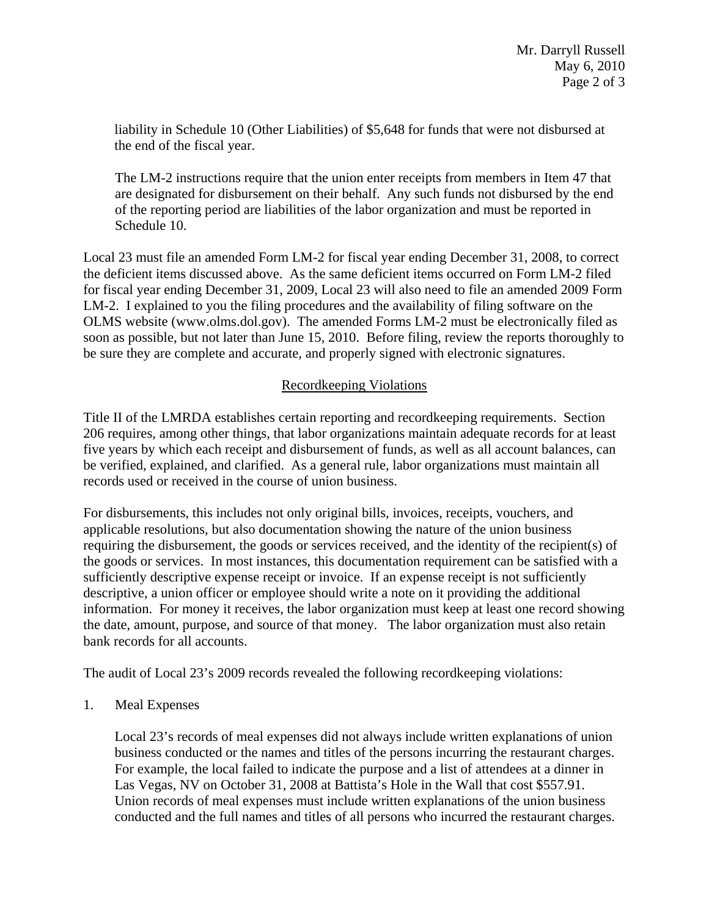liability in Schedule 10 (Other Liabilities) of \$5,648 for funds that were not disbursed at the end of the fiscal year.

The LM-2 instructions require that the union enter receipts from members in Item 47 that are designated for disbursement on their behalf. Any such funds not disbursed by the end of the reporting period are liabilities of the labor organization and must be reported in Schedule 10.

Local 23 must file an amended Form LM-2 for fiscal year ending December 31, 2008, to correct the deficient items discussed above. As the same deficient items occurred on Form LM-2 filed for fiscal year ending December 31, 2009, Local 23 will also need to file an amended 2009 Form LM-2. I explained to you the filing procedures and the availability of filing software on the OLMS website (www.olms.dol.gov). The amended Forms LM-2 must be electronically filed as soon as possible, but not later than June 15, 2010. Before filing, review the reports thoroughly to be sure they are complete and accurate, and properly signed with electronic signatures.

# Recordkeeping Violations

Title II of the LMRDA establishes certain reporting and recordkeeping requirements. Section 206 requires, among other things, that labor organizations maintain adequate records for at least five years by which each receipt and disbursement of funds, as well as all account balances, can be verified, explained, and clarified. As a general rule, labor organizations must maintain all records used or received in the course of union business.

For disbursements, this includes not only original bills, invoices, receipts, vouchers, and applicable resolutions, but also documentation showing the nature of the union business requiring the disbursement, the goods or services received, and the identity of the recipient(s) of the goods or services. In most instances, this documentation requirement can be satisfied with a sufficiently descriptive expense receipt or invoice. If an expense receipt is not sufficiently descriptive, a union officer or employee should write a note on it providing the additional information. For money it receives, the labor organization must keep at least one record showing the date, amount, purpose, and source of that money. The labor organization must also retain bank records for all accounts.

The audit of Local 23's 2009 records revealed the following recordkeeping violations:

1. Meal Expenses

Local 23's records of meal expenses did not always include written explanations of union business conducted or the names and titles of the persons incurring the restaurant charges. For example, the local failed to indicate the purpose and a list of attendees at a dinner in Las Vegas, NV on October 31, 2008 at Battista's Hole in the Wall that cost \$557.91. Union records of meal expenses must include written explanations of the union business conducted and the full names and titles of all persons who incurred the restaurant charges.